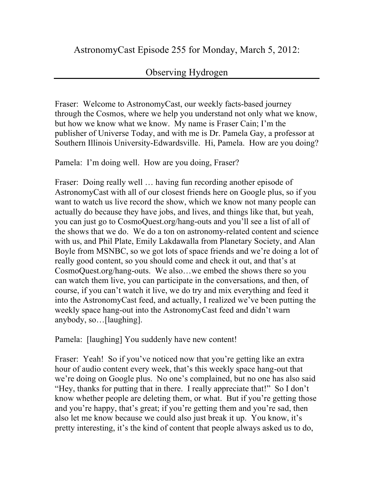## Observing Hydrogen

Fraser: Welcome to AstronomyCast, our weekly facts-based journey through the Cosmos, where we help you understand not only what we know, but how we know what we know. My name is Fraser Cain; I'm the publisher of Universe Today, and with me is Dr. Pamela Gay, a professor at Southern Illinois University-Edwardsville. Hi, Pamela. How are you doing?

Pamela: I'm doing well. How are you doing, Fraser?

Fraser: Doing really well … having fun recording another episode of AstronomyCast with all of our closest friends here on Google plus, so if you want to watch us live record the show, which we know not many people can actually do because they have jobs, and lives, and things like that, but yeah, you can just go to CosmoQuest.org/hang-outs and you'll see a list of all of the shows that we do. We do a ton on astronomy-related content and science with us, and Phil Plate, Emily Lakdawalla from Planetary Society, and Alan Boyle from MSNBC, so we got lots of space friends and we're doing a lot of really good content, so you should come and check it out, and that's at CosmoQuest.org/hang-outs. We also…we embed the shows there so you can watch them live, you can participate in the conversations, and then, of course, if you can't watch it live, we do try and mix everything and feed it into the AstronomyCast feed, and actually, I realized we've been putting the weekly space hang-out into the AstronomyCast feed and didn't warn anybody, so…[laughing].

Pamela: [laughing] You suddenly have new content!

Fraser: Yeah! So if you've noticed now that you're getting like an extra hour of audio content every week, that's this weekly space hang-out that we're doing on Google plus. No one's complained, but no one has also said "Hey, thanks for putting that in there. I really appreciate that!" So I don't know whether people are deleting them, or what. But if you're getting those and you're happy, that's great; if you're getting them and you're sad, then also let me know because we could also just break it up. You know, it's pretty interesting, it's the kind of content that people always asked us to do,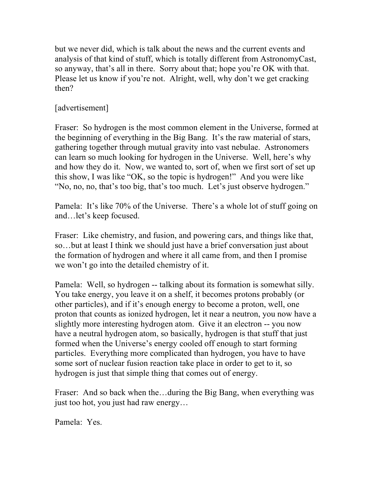but we never did, which is talk about the news and the current events and analysis of that kind of stuff, which is totally different from AstronomyCast, so anyway, that's all in there. Sorry about that; hope you're OK with that. Please let us know if you're not. Alright, well, why don't we get cracking then?

## [advertisement]

Fraser: So hydrogen is the most common element in the Universe, formed at the beginning of everything in the Big Bang. It's the raw material of stars, gathering together through mutual gravity into vast nebulae. Astronomers can learn so much looking for hydrogen in the Universe. Well, here's why and how they do it. Now, we wanted to, sort of, when we first sort of set up this show, I was like "OK, so the topic is hydrogen!" And you were like "No, no, no, that's too big, that's too much. Let's just observe hydrogen."

Pamela: It's like 70% of the Universe. There's a whole lot of stuff going on and…let's keep focused.

Fraser: Like chemistry, and fusion, and powering cars, and things like that, so…but at least I think we should just have a brief conversation just about the formation of hydrogen and where it all came from, and then I promise we won't go into the detailed chemistry of it.

Pamela: Well, so hydrogen -- talking about its formation is somewhat silly. You take energy, you leave it on a shelf, it becomes protons probably (or other particles), and if it's enough energy to become a proton, well, one proton that counts as ionized hydrogen, let it near a neutron, you now have a slightly more interesting hydrogen atom. Give it an electron -- you now have a neutral hydrogen atom, so basically, hydrogen is that stuff that just formed when the Universe's energy cooled off enough to start forming particles. Everything more complicated than hydrogen, you have to have some sort of nuclear fusion reaction take place in order to get to it, so hydrogen is just that simple thing that comes out of energy.

Fraser: And so back when the…during the Big Bang, when everything was just too hot, you just had raw energy…

Pamela: Yes.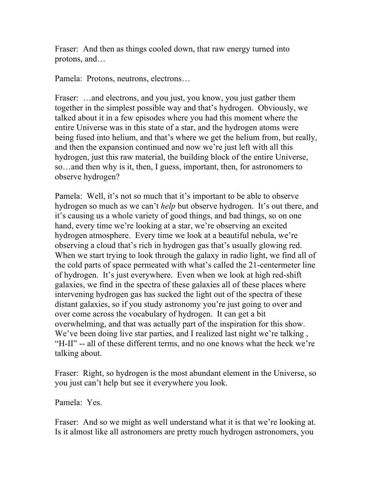Fraser: And then as things cooled down, that raw energy turned into protons, and…

Pamela: Protons, neutrons, electrons…

Fraser: ...and electrons, and you just, you know, you just gather them together in the simplest possible way and that's hydrogen. Obviously, we talked about it in a few episodes where you had this moment where the entire Universe was in this state of a star, and the hydrogen atoms were being fused into helium, and that's where we get the helium from, but really, and then the expansion continued and now we're just left with all this hydrogen, just this raw material, the building block of the entire Universe, so…and then why is it, then, I guess, important, then, for astronomers to observe hydrogen?

Pamela: Well, it's not so much that it's important to be able to observe hydrogen so much as we can't *help* but observe hydrogen. It's out there, and it's causing us a whole variety of good things, and bad things, so on one hand, every time we're looking at a star, we're observing an excited hydrogen atmosphere. Every time we look at a beautiful nebula, we're observing a cloud that's rich in hydrogen gas that's usually glowing red. When we start trying to look through the galaxy in radio light, we find all of the cold parts of space permeated with what's called the 21-centermeter line of hydrogen. It's just everywhere. Even when we look at high red-shift galaxies, we find in the spectra of these galaxies all of these places where intervening hydrogen gas has sucked the light out of the spectra of these distant galaxies, so if you study astronomy you're just going to over and over come across the vocabulary of hydrogen. It can get a bit overwhelming, and that was actually part of the inspiration for this show. We've been doing live star parties, and I realized last night we're talking, "H-II" -- all of these different terms, and no one knows what the heck we're talking about.

Fraser: Right, so hydrogen is the most abundant element in the Universe, so you just can't help but see it everywhere you look.

Pamela: Yes.

Fraser: And so we might as well understand what it is that we're looking at. Is it almost like all astronomers are pretty much hydrogen astronomers, you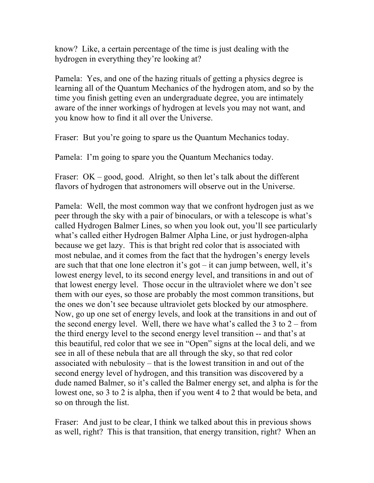know? Like, a certain percentage of the time is just dealing with the hydrogen in everything they're looking at?

Pamela: Yes, and one of the hazing rituals of getting a physics degree is learning all of the Quantum Mechanics of the hydrogen atom, and so by the time you finish getting even an undergraduate degree, you are intimately aware of the inner workings of hydrogen at levels you may not want, and you know how to find it all over the Universe.

Fraser: But you're going to spare us the Quantum Mechanics today.

Pamela: I'm going to spare you the Quantum Mechanics today.

Fraser: OK – good, good. Alright, so then let's talk about the different flavors of hydrogen that astronomers will observe out in the Universe.

Pamela: Well, the most common way that we confront hydrogen just as we peer through the sky with a pair of binoculars, or with a telescope is what's called Hydrogen Balmer Lines, so when you look out, you'll see particularly what's called either Hydrogen Balmer Alpha Line, or just hydrogen-alpha because we get lazy. This is that bright red color that is associated with most nebulae, and it comes from the fact that the hydrogen's energy levels are such that that one lone electron it's got – it can jump between, well, it's lowest energy level, to its second energy level, and transitions in and out of that lowest energy level. Those occur in the ultraviolet where we don't see them with our eyes, so those are probably the most common transitions, but the ones we don't see because ultraviolet gets blocked by our atmosphere. Now, go up one set of energy levels, and look at the transitions in and out of the second energy level. Well, there we have what's called the  $3$  to  $2$  – from the third energy level to the second energy level transition -- and that's at this beautiful, red color that we see in "Open" signs at the local deli, and we see in all of these nebula that are all through the sky, so that red color associated with nebulosity – that is the lowest transition in and out of the second energy level of hydrogen, and this transition was discovered by a dude named Balmer, so it's called the Balmer energy set, and alpha is for the lowest one, so 3 to 2 is alpha, then if you went 4 to 2 that would be beta, and so on through the list.

Fraser: And just to be clear, I think we talked about this in previous shows as well, right? This is that transition, that energy transition, right? When an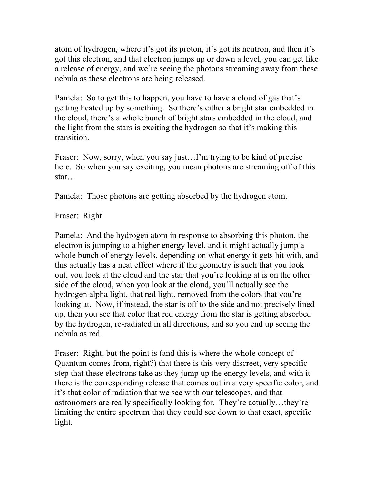atom of hydrogen, where it's got its proton, it's got its neutron, and then it's got this electron, and that electron jumps up or down a level, you can get like a release of energy, and we're seeing the photons streaming away from these nebula as these electrons are being released.

Pamela: So to get this to happen, you have to have a cloud of gas that's getting heated up by something. So there's either a bright star embedded in the cloud, there's a whole bunch of bright stars embedded in the cloud, and the light from the stars is exciting the hydrogen so that it's making this transition.

Fraser: Now, sorry, when you say just...I'm trying to be kind of precise here. So when you say exciting, you mean photons are streaming off of this star…

Pamela: Those photons are getting absorbed by the hydrogen atom.

Fraser: Right.

Pamela: And the hydrogen atom in response to absorbing this photon, the electron is jumping to a higher energy level, and it might actually jump a whole bunch of energy levels, depending on what energy it gets hit with, and this actually has a neat effect where if the geometry is such that you look out, you look at the cloud and the star that you're looking at is on the other side of the cloud, when you look at the cloud, you'll actually see the hydrogen alpha light, that red light, removed from the colors that you're looking at. Now, if instead, the star is off to the side and not precisely lined up, then you see that color that red energy from the star is getting absorbed by the hydrogen, re-radiated in all directions, and so you end up seeing the nebula as red.

Fraser: Right, but the point is (and this is where the whole concept of Quantum comes from, right?) that there is this very discreet, very specific step that these electrons take as they jump up the energy levels, and with it there is the corresponding release that comes out in a very specific color, and it's that color of radiation that we see with our telescopes, and that astronomers are really specifically looking for. They're actually…they're limiting the entire spectrum that they could see down to that exact, specific light.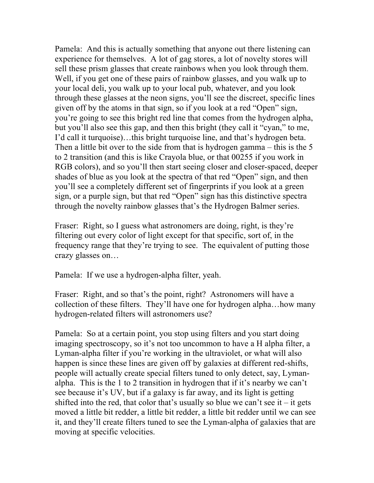Pamela: And this is actually something that anyone out there listening can experience for themselves. A lot of gag stores, a lot of novelty stores will sell these prism glasses that create rainbows when you look through them. Well, if you get one of these pairs of rainbow glasses, and you walk up to your local deli, you walk up to your local pub, whatever, and you look through these glasses at the neon signs, you'll see the discreet, specific lines given off by the atoms in that sign, so if you look at a red "Open" sign, you're going to see this bright red line that comes from the hydrogen alpha, but you'll also see this gap, and then this bright (they call it "cyan," to me, I'd call it turquoise)…this bright turquoise line, and that's hydrogen beta. Then a little bit over to the side from that is hydrogen gamma – this is the 5 to 2 transition (and this is like Crayola blue, or that 00255 if you work in RGB colors), and so you'll then start seeing closer and closer-spaced, deeper shades of blue as you look at the spectra of that red "Open" sign, and then you'll see a completely different set of fingerprints if you look at a green sign, or a purple sign, but that red "Open" sign has this distinctive spectra through the novelty rainbow glasses that's the Hydrogen Balmer series.

Fraser: Right, so I guess what astronomers are doing, right, is they're filtering out every color of light except for that specific, sort of, in the frequency range that they're trying to see. The equivalent of putting those crazy glasses on…

Pamela: If we use a hydrogen-alpha filter, yeah.

Fraser: Right, and so that's the point, right? Astronomers will have a collection of these filters. They'll have one for hydrogen alpha…how many hydrogen-related filters will astronomers use?

Pamela: So at a certain point, you stop using filters and you start doing imaging spectroscopy, so it's not too uncommon to have a H alpha filter, a Lyman-alpha filter if you're working in the ultraviolet, or what will also happen is since these lines are given off by galaxies at different red-shifts, people will actually create special filters tuned to only detect, say, Lymanalpha. This is the 1 to 2 transition in hydrogen that if it's nearby we can't see because it's UV, but if a galaxy is far away, and its light is getting shifted into the red, that color that's usually so blue we can't see it – it gets moved a little bit redder, a little bit redder, a little bit redder until we can see it, and they'll create filters tuned to see the Lyman-alpha of galaxies that are moving at specific velocities.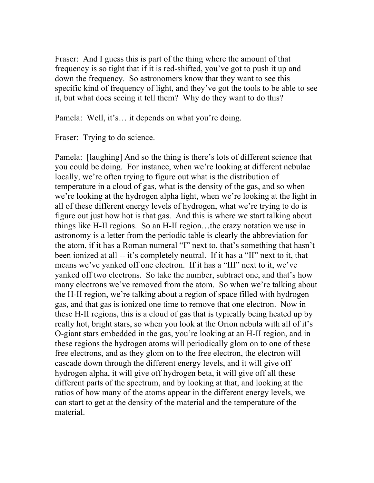Fraser: And I guess this is part of the thing where the amount of that frequency is so tight that if it is red-shifted, you've got to push it up and down the frequency. So astronomers know that they want to see this specific kind of frequency of light, and they've got the tools to be able to see it, but what does seeing it tell them? Why do they want to do this?

Pamela: Well, it's… it depends on what you're doing.

Fraser: Trying to do science.

Pamela: [laughing] And so the thing is there's lots of different science that you could be doing. For instance, when we're looking at different nebulae locally, we're often trying to figure out what is the distribution of temperature in a cloud of gas, what is the density of the gas, and so when we're looking at the hydrogen alpha light, when we're looking at the light in all of these different energy levels of hydrogen, what we're trying to do is figure out just how hot is that gas. And this is where we start talking about things like H-II regions. So an H-II region…the crazy notation we use in astronomy is a letter from the periodic table is clearly the abbreviation for the atom, if it has a Roman numeral "I" next to, that's something that hasn't been ionized at all -- it's completely neutral. If it has a "II" next to it, that means we've yanked off one electron. If it has a "III" next to it, we've yanked off two electrons. So take the number, subtract one, and that's how many electrons we've removed from the atom. So when we're talking about the H-II region, we're talking about a region of space filled with hydrogen gas, and that gas is ionized one time to remove that one electron. Now in these H-II regions, this is a cloud of gas that is typically being heated up by really hot, bright stars, so when you look at the Orion nebula with all of it's O-giant stars embedded in the gas, you're looking at an H-II region, and in these regions the hydrogen atoms will periodically glom on to one of these free electrons, and as they glom on to the free electron, the electron will cascade down through the different energy levels, and it will give off hydrogen alpha, it will give off hydrogen beta, it will give off all these different parts of the spectrum, and by looking at that, and looking at the ratios of how many of the atoms appear in the different energy levels, we can start to get at the density of the material and the temperature of the material.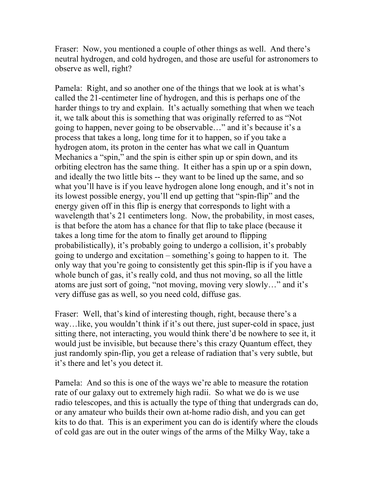Fraser: Now, you mentioned a couple of other things as well. And there's neutral hydrogen, and cold hydrogen, and those are useful for astronomers to observe as well, right?

Pamela: Right, and so another one of the things that we look at is what's called the 21-centimeter line of hydrogen, and this is perhaps one of the harder things to try and explain. It's actually something that when we teach it, we talk about this is something that was originally referred to as "Not going to happen, never going to be observable…" and it's because it's a process that takes a long, long time for it to happen, so if you take a hydrogen atom, its proton in the center has what we call in Quantum Mechanics a "spin," and the spin is either spin up or spin down, and its orbiting electron has the same thing. It either has a spin up or a spin down, and ideally the two little bits -- they want to be lined up the same, and so what you'll have is if you leave hydrogen alone long enough, and it's not in its lowest possible energy, you'll end up getting that "spin-flip" and the energy given off in this flip is energy that corresponds to light with a wavelength that's 21 centimeters long. Now, the probability, in most cases, is that before the atom has a chance for that flip to take place (because it takes a long time for the atom to finally get around to flipping probabilistically), it's probably going to undergo a collision, it's probably going to undergo and excitation – something's going to happen to it. The only way that you're going to consistently get this spin-flip is if you have a whole bunch of gas, it's really cold, and thus not moving, so all the little atoms are just sort of going, "not moving, moving very slowly…" and it's very diffuse gas as well, so you need cold, diffuse gas.

Fraser: Well, that's kind of interesting though, right, because there's a way…like, you wouldn't think if it's out there, just super-cold in space, just sitting there, not interacting, you would think there'd be nowhere to see it, it would just be invisible, but because there's this crazy Quantum effect, they just randomly spin-flip, you get a release of radiation that's very subtle, but it's there and let's you detect it.

Pamela: And so this is one of the ways we're able to measure the rotation rate of our galaxy out to extremely high radii. So what we do is we use radio telescopes, and this is actually the type of thing that undergrads can do, or any amateur who builds their own at-home radio dish, and you can get kits to do that. This is an experiment you can do is identify where the clouds of cold gas are out in the outer wings of the arms of the Milky Way, take a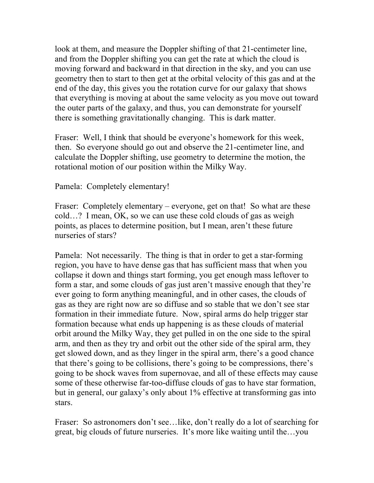look at them, and measure the Doppler shifting of that 21-centimeter line, and from the Doppler shifting you can get the rate at which the cloud is moving forward and backward in that direction in the sky, and you can use geometry then to start to then get at the orbital velocity of this gas and at the end of the day, this gives you the rotation curve for our galaxy that shows that everything is moving at about the same velocity as you move out toward the outer parts of the galaxy, and thus, you can demonstrate for yourself there is something gravitationally changing. This is dark matter.

Fraser: Well, I think that should be everyone's homework for this week, then. So everyone should go out and observe the 21-centimeter line, and calculate the Doppler shifting, use geometry to determine the motion, the rotational motion of our position within the Milky Way.

Pamela: Completely elementary!

Fraser: Completely elementary – everyone, get on that! So what are these cold…? I mean, OK, so we can use these cold clouds of gas as weigh points, as places to determine position, but I mean, aren't these future nurseries of stars?

Pamela: Not necessarily. The thing is that in order to get a star-forming region, you have to have dense gas that has sufficient mass that when you collapse it down and things start forming, you get enough mass leftover to form a star, and some clouds of gas just aren't massive enough that they're ever going to form anything meaningful, and in other cases, the clouds of gas as they are right now are so diffuse and so stable that we don't see star formation in their immediate future. Now, spiral arms do help trigger star formation because what ends up happening is as these clouds of material orbit around the Milky Way, they get pulled in on the one side to the spiral arm, and then as they try and orbit out the other side of the spiral arm, they get slowed down, and as they linger in the spiral arm, there's a good chance that there's going to be collisions, there's going to be compressions, there's going to be shock waves from supernovae, and all of these effects may cause some of these otherwise far-too-diffuse clouds of gas to have star formation, but in general, our galaxy's only about 1% effective at transforming gas into stars.

Fraser: So astronomers don't see…like, don't really do a lot of searching for great, big clouds of future nurseries. It's more like waiting until the…you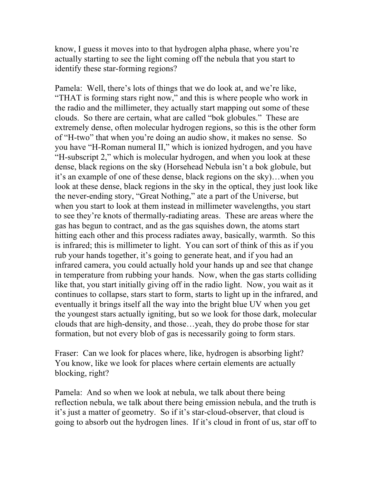know, I guess it moves into to that hydrogen alpha phase, where you're actually starting to see the light coming off the nebula that you start to identify these star-forming regions?

Pamela: Well, there's lots of things that we do look at, and we're like, "THAT is forming stars right now," and this is where people who work in the radio and the millimeter, they actually start mapping out some of these clouds. So there are certain, what are called "bok globules." These are extremely dense, often molecular hydrogen regions, so this is the other form of "H-two" that when you're doing an audio show, it makes no sense. So you have "H-Roman numeral II," which is ionized hydrogen, and you have "H-subscript 2," which is molecular hydrogen, and when you look at these dense, black regions on the sky (Horsehead Nebula isn't a bok globule, but it's an example of one of these dense, black regions on the sky)…when you look at these dense, black regions in the sky in the optical, they just look like the never-ending story, "Great Nothing," ate a part of the Universe, but when you start to look at them instead in millimeter wavelengths, you start to see they're knots of thermally-radiating areas. These are areas where the gas has begun to contract, and as the gas squishes down, the atoms start hitting each other and this process radiates away, basically, warmth. So this is infrared; this is millimeter to light. You can sort of think of this as if you rub your hands together, it's going to generate heat, and if you had an infrared camera, you could actually hold your hands up and see that change in temperature from rubbing your hands. Now, when the gas starts colliding like that, you start initially giving off in the radio light. Now, you wait as it continues to collapse, stars start to form, starts to light up in the infrared, and eventually it brings itself all the way into the bright blue UV when you get the youngest stars actually igniting, but so we look for those dark, molecular clouds that are high-density, and those…yeah, they do probe those for star formation, but not every blob of gas is necessarily going to form stars.

Fraser: Can we look for places where, like, hydrogen is absorbing light? You know, like we look for places where certain elements are actually blocking, right?

Pamela: And so when we look at nebula, we talk about there being reflection nebula, we talk about there being emission nebula, and the truth is it's just a matter of geometry. So if it's star-cloud-observer, that cloud is going to absorb out the hydrogen lines. If it's cloud in front of us, star off to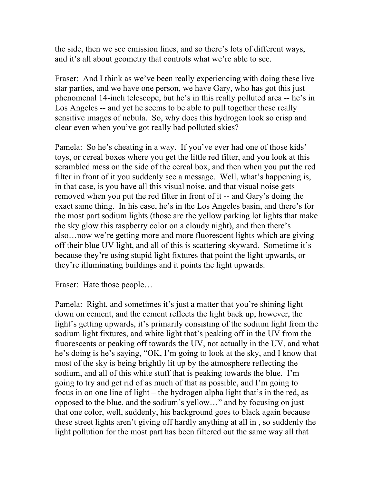the side, then we see emission lines, and so there's lots of different ways, and it's all about geometry that controls what we're able to see.

Fraser: And I think as we've been really experiencing with doing these live star parties, and we have one person, we have Gary, who has got this just phenomenal 14-inch telescope, but he's in this really polluted area -- he's in Los Angeles -- and yet he seems to be able to pull together these really sensitive images of nebula. So, why does this hydrogen look so crisp and clear even when you've got really bad polluted skies?

Pamela: So he's cheating in a way. If you've ever had one of those kids' toys, or cereal boxes where you get the little red filter, and you look at this scrambled mess on the side of the cereal box, and then when you put the red filter in front of it you suddenly see a message. Well, what's happening is, in that case, is you have all this visual noise, and that visual noise gets removed when you put the red filter in front of it -- and Gary's doing the exact same thing. In his case, he's in the Los Angeles basin, and there's for the most part sodium lights (those are the yellow parking lot lights that make the sky glow this raspberry color on a cloudy night), and then there's also…now we're getting more and more fluorescent lights which are giving off their blue UV light, and all of this is scattering skyward. Sometime it's because they're using stupid light fixtures that point the light upwards, or they're illuminating buildings and it points the light upwards.

Fraser: Hate those people...

Pamela: Right, and sometimes it's just a matter that you're shining light down on cement, and the cement reflects the light back up; however, the light's getting upwards, it's primarily consisting of the sodium light from the sodium light fixtures, and white light that's peaking off in the UV from the fluorescents or peaking off towards the UV, not actually in the UV, and what he's doing is he's saying, "OK, I'm going to look at the sky, and I know that most of the sky is being brightly lit up by the atmosphere reflecting the sodium, and all of this white stuff that is peaking towards the blue. I'm going to try and get rid of as much of that as possible, and I'm going to focus in on one line of light – the hydrogen alpha light that's in the red, as opposed to the blue, and the sodium's yellow…" and by focusing on just that one color, well, suddenly, his background goes to black again because these street lights aren't giving off hardly anything at all in , so suddenly the light pollution for the most part has been filtered out the same way all that